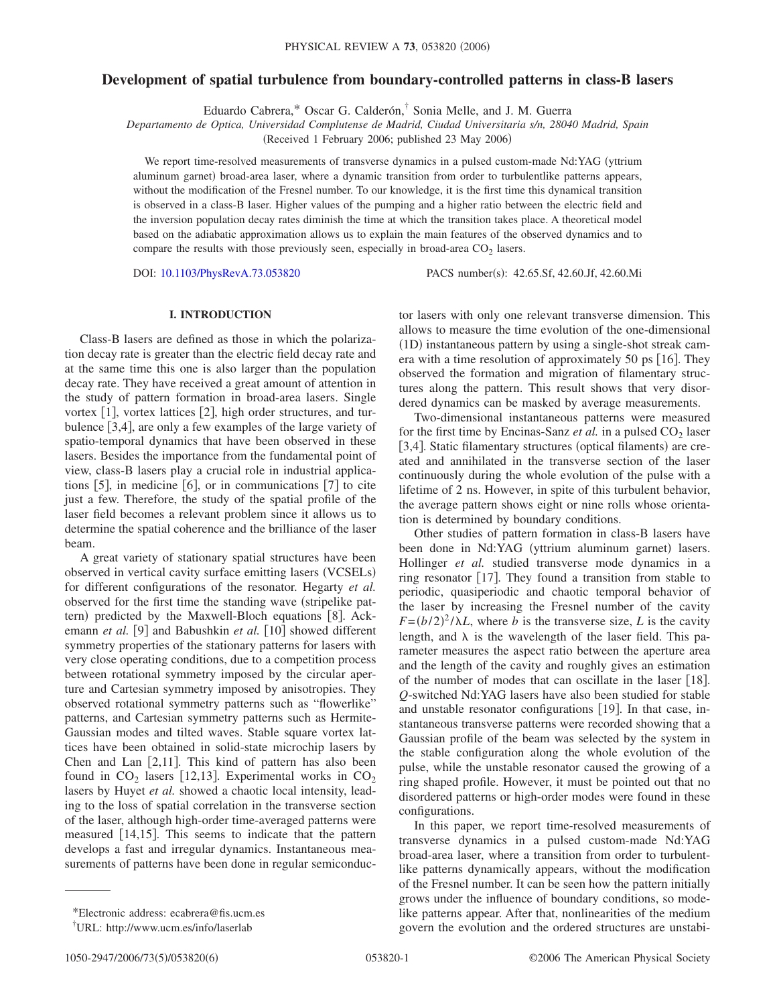# **Development of spatial turbulence from boundary-controlled patterns in class-B lasers**

Eduardo Cabrera,\* Oscar G. Calderón,† Sonia Melle, and J. M. Guerra

*Departamento de Optica, Universidad Complutense de Madrid, Ciudad Universitaria s/n, 28040 Madrid, Spain*

(Received 1 February 2006; published 23 May 2006)

We report time-resolved measurements of transverse dynamics in a pulsed custom-made Nd:YAG (yttrium aluminum garnet) broad-area laser, where a dynamic transition from order to turbulentlike patterns appears, without the modification of the Fresnel number. To our knowledge, it is the first time this dynamical transition is observed in a class-B laser. Higher values of the pumping and a higher ratio between the electric field and the inversion population decay rates diminish the time at which the transition takes place. A theoretical model based on the adiabatic approximation allows us to explain the main features of the observed dynamics and to compare the results with those previously seen, especially in broad-area  $CO<sub>2</sub>$  lasers.

DOI: [10.1103/PhysRevA.73.053820](http://dx.doi.org/10.1103/PhysRevA.73.053820)

PACS number(s): 42.65.Sf, 42.60.Jf, 42.60.Mi

## **I. INTRODUCTION**

Class-B lasers are defined as those in which the polarization decay rate is greater than the electric field decay rate and at the same time this one is also larger than the population decay rate. They have received a great amount of attention in the study of pattern formation in broad-area lasers. Single vortex  $[1]$ , vortex lattices  $[2]$ , high order structures, and turbulence [3,4], are only a few examples of the large variety of spatio-temporal dynamics that have been observed in these lasers. Besides the importance from the fundamental point of view, class-B lasers play a crucial role in industrial applications  $\lceil 5 \rceil$ , in medicine  $\lceil 6 \rceil$ , or in communications  $\lceil 7 \rceil$  to cite just a few. Therefore, the study of the spatial profile of the laser field becomes a relevant problem since it allows us to determine the spatial coherence and the brilliance of the laser beam.

A great variety of stationary spatial structures have been observed in vertical cavity surface emitting lasers (VCSELs) for different configurations of the resonator. Hegarty *et al.* observed for the first time the standing wave (stripelike pattern) predicted by the Maxwell-Bloch equations [8]. Ackemann *et al.* [9] and Babushkin *et al.* [10] showed different symmetry properties of the stationary patterns for lasers with very close operating conditions, due to a competition process between rotational symmetry imposed by the circular aperture and Cartesian symmetry imposed by anisotropies. They observed rotational symmetry patterns such as "flowerlike" patterns, and Cartesian symmetry patterns such as Hermite-Gaussian modes and tilted waves. Stable square vortex lattices have been obtained in solid-state microchip lasers by Chen and Lan  $[2,11]$ . This kind of pattern has also been found in  $CO_2$  lasers [12,13]. Experimental works in  $CO_2$ lasers by Huyet *et al.* showed a chaotic local intensity, leading to the loss of spatial correlation in the transverse section of the laser, although high-order time-averaged patterns were measured  $[14,15]$ . This seems to indicate that the pattern develops a fast and irregular dynamics. Instantaneous measurements of patterns have been done in regular semiconductor lasers with only one relevant transverse dimension. This allows to measure the time evolution of the one-dimensional (1D) instantaneous pattern by using a single-shot streak camera with a time resolution of approximately 50 ps  $[16]$ . They observed the formation and migration of filamentary structures along the pattern. This result shows that very disordered dynamics can be masked by average measurements.

Two-dimensional instantaneous patterns were measured for the first time by Encinas-Sanz *et al.* in a pulsed  $CO<sub>2</sub>$  laser [3,4]. Static filamentary structures (optical filaments) are created and annihilated in the transverse section of the laser continuously during the whole evolution of the pulse with a lifetime of 2 ns. However, in spite of this turbulent behavior, the average pattern shows eight or nine rolls whose orientation is determined by boundary conditions.

Other studies of pattern formation in class-B lasers have been done in Nd:YAG (yttrium aluminum garnet) lasers. Hollinger *et al.* studied transverse mode dynamics in a ring resonator  $[17]$ . They found a transition from stable to periodic, quasiperiodic and chaotic temporal behavior of the laser by increasing the Fresnel number of the cavity  $F = (b/2)^2 / \lambda L$ , where *b* is the transverse size, *L* is the cavity length, and  $\lambda$  is the wavelength of the laser field. This parameter measures the aspect ratio between the aperture area and the length of the cavity and roughly gives an estimation of the number of modes that can oscillate in the laser  $[18]$ . *Q*-switched Nd:YAG lasers have also been studied for stable and unstable resonator configurations  $[19]$ . In that case, instantaneous transverse patterns were recorded showing that a Gaussian profile of the beam was selected by the system in the stable configuration along the whole evolution of the pulse, while the unstable resonator caused the growing of a ring shaped profile. However, it must be pointed out that no disordered patterns or high-order modes were found in these configurations.

In this paper, we report time-resolved measurements of transverse dynamics in a pulsed custom-made Nd:YAG broad-area laser, where a transition from order to turbulentlike patterns dynamically appears, without the modification of the Fresnel number. It can be seen how the pattern initially grows under the influence of boundary conditions, so modelike patterns appear. After that, nonlinearities of the medium govern the evolution and the ordered structures are unstabi-

<sup>\*</sup>Electronic address: ecabrera@fis.ucm.es

<sup>†</sup> URL: http://www.ucm.es/info/laserlab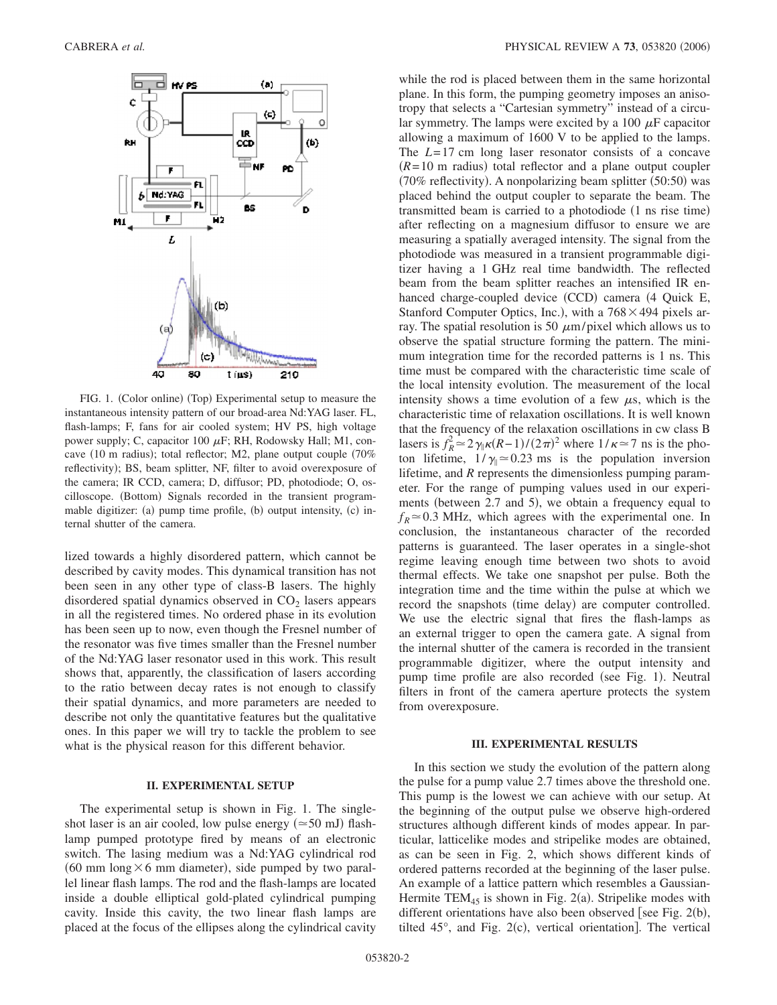

FIG. 1. (Color online) (Top) Experimental setup to measure the instantaneous intensity pattern of our broad-area Nd:YAG laser. FL, flash-lamps; F, fans for air cooled system; HV PS, high voltage power supply; C, capacitor 100  $\mu$ F; RH, Rodowsky Hall; M1, concave (10 m radius); total reflector; M2, plane output couple (70% reflectivity); BS, beam splitter, NF, filter to avoid overexposure of the camera; IR CCD, camera; D, diffusor; PD, photodiode; O, oscilloscope. (Bottom) Signals recorded in the transient programmable digitizer: (a) pump time profile, (b) output intensity, (c) internal shutter of the camera.

lized towards a highly disordered pattern, which cannot be described by cavity modes. This dynamical transition has not been seen in any other type of class-B lasers. The highly disordered spatial dynamics observed in  $CO<sub>2</sub>$  lasers appears in all the registered times. No ordered phase in its evolution has been seen up to now, even though the Fresnel number of the resonator was five times smaller than the Fresnel number of the Nd:YAG laser resonator used in this work. This result shows that, apparently, the classification of lasers according to the ratio between decay rates is not enough to classify their spatial dynamics, and more parameters are needed to describe not only the quantitative features but the qualitative ones. In this paper we will try to tackle the problem to see what is the physical reason for this different behavior.

### **II. EXPERIMENTAL SETUP**

The experimental setup is shown in Fig. 1. The singleshot laser is an air cooled, low pulse energy  $(\simeq 50 \text{ mJ})$  flashlamp pumped prototype fired by means of an electronic switch. The lasing medium was a Nd:YAG cylindrical rod (60 mm long  $\times$  6 mm diameter), side pumped by two parallel linear flash lamps. The rod and the flash-lamps are located inside a double elliptical gold-plated cylindrical pumping cavity. Inside this cavity, the two linear flash lamps are placed at the focus of the ellipses along the cylindrical cavity

while the rod is placed between them in the same horizontal plane. In this form, the pumping geometry imposes an anisotropy that selects a "Cartesian symmetry" instead of a circular symmetry. The lamps were excited by a 100  $\mu$ F capacitor allowing a maximum of 1600 V to be applied to the lamps. The *L*=17 cm long laser resonator consists of a concave  $(R=10 \text{ m}$  radius) total reflector and a plane output coupler (70% reflectivity). A nonpolarizing beam splitter (50:50) was placed behind the output coupler to separate the beam. The transmitted beam is carried to a photodiode (1 ns rise time) after reflecting on a magnesium diffusor to ensure we are measuring a spatially averaged intensity. The signal from the photodiode was measured in a transient programmable digitizer having a 1 GHz real time bandwidth. The reflected beam from the beam splitter reaches an intensified IR enhanced charge-coupled device (CCD) camera (4 Quick E, Stanford Computer Optics, Inc.), with a  $768 \times 494$  pixels array. The spatial resolution is 50  $\mu$ m/pixel which allows us to observe the spatial structure forming the pattern. The minimum integration time for the recorded patterns is 1 ns. This time must be compared with the characteristic time scale of the local intensity evolution. The measurement of the local intensity shows a time evolution of a few  $\mu$ s, which is the characteristic time of relaxation oscillations. It is well known that the frequency of the relaxation oscillations in cw class B lasers is  $f_R^2 \approx 2\gamma_\parallel \kappa (R-1)/(2\pi)^2$  where  $1/\kappa \approx 7$  ns is the photon lifetime,  $1/\gamma_0 \approx 0.23$  ms is the population inversion lifetime, and *R* represents the dimensionless pumping parameter. For the range of pumping values used in our experiments (between 2.7 and 5), we obtain a frequency equal to  $f_R \approx 0.3$  MHz, which agrees with the experimental one. In conclusion, the instantaneous character of the recorded patterns is guaranteed. The laser operates in a single-shot regime leaving enough time between two shots to avoid thermal effects. We take one snapshot per pulse. Both the integration time and the time within the pulse at which we record the snapshots (time delay) are computer controlled. We use the electric signal that fires the flash-lamps as an external trigger to open the camera gate. A signal from the internal shutter of the camera is recorded in the transient programmable digitizer, where the output intensity and pump time profile are also recorded (see Fig. 1). Neutral filters in front of the camera aperture protects the system from overexposure.

#### **III. EXPERIMENTAL RESULTS**

In this section we study the evolution of the pattern along the pulse for a pump value 2.7 times above the threshold one. This pump is the lowest we can achieve with our setup. At the beginning of the output pulse we observe high-ordered structures although different kinds of modes appear. In particular, latticelike modes and stripelike modes are obtained, as can be seen in Fig. 2, which shows different kinds of ordered patterns recorded at the beginning of the laser pulse. An example of a lattice pattern which resembles a Gaussian-Hermite  $TEM_{45}$  is shown in Fig. 2(a). Stripelike modes with different orientations have also been observed [see Fig.  $2(b)$ , tilted  $45^\circ$ , and Fig. 2(c), vertical orientation]. The vertical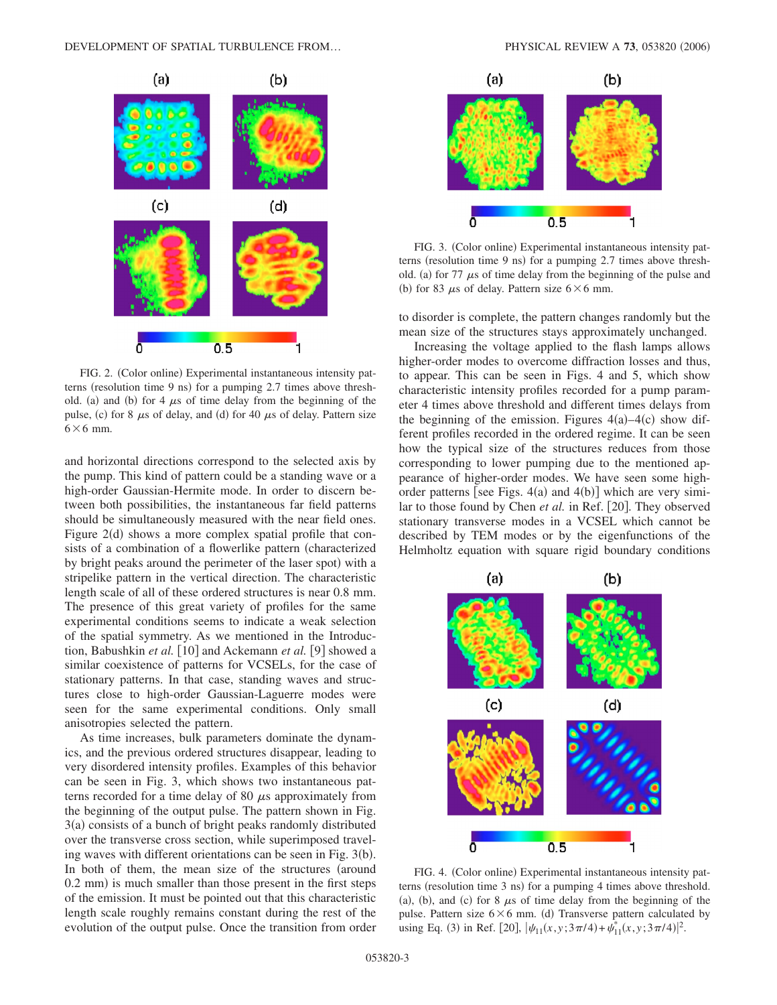

FIG. 2. (Color online) Experimental instantaneous intensity patterns (resolution time 9 ns) for a pumping 2.7 times above threshold. (a) and (b) for 4  $\mu$ s of time delay from the beginning of the pulse, (c) for 8  $\mu$ s of delay, and (d) for 40  $\mu$ s of delay. Pattern size  $6\times 6$  mm.

and horizontal directions correspond to the selected axis by the pump. This kind of pattern could be a standing wave or a high-order Gaussian-Hermite mode. In order to discern between both possibilities, the instantaneous far field patterns should be simultaneously measured with the near field ones. Figure 2(d) shows a more complex spatial profile that consists of a combination of a flowerlike pattern (characterized by bright peaks around the perimeter of the laser spot) with a stripelike pattern in the vertical direction. The characteristic length scale of all of these ordered structures is near 0.8 mm. The presence of this great variety of profiles for the same experimental conditions seems to indicate a weak selection of the spatial symmetry. As we mentioned in the Introduction, Babushkin *et al.* [10] and Ackemann *et al.* [9] showed a similar coexistence of patterns for VCSELs, for the case of stationary patterns. In that case, standing waves and structures close to high-order Gaussian-Laguerre modes were seen for the same experimental conditions. Only small anisotropies selected the pattern.

As time increases, bulk parameters dominate the dynamics, and the previous ordered structures disappear, leading to very disordered intensity profiles. Examples of this behavior can be seen in Fig. 3, which shows two instantaneous patterns recorded for a time delay of 80  $\mu$ s approximately from the beginning of the output pulse. The pattern shown in Fig. 3(a) consists of a bunch of bright peaks randomly distributed over the transverse cross section, while superimposed traveling waves with different orientations can be seen in Fig. 3(b). In both of them, the mean size of the structures (around 0.2 mm) is much smaller than those present in the first steps of the emission. It must be pointed out that this characteristic length scale roughly remains constant during the rest of the evolution of the output pulse. Once the transition from order



FIG. 3. (Color online) Experimental instantaneous intensity patterns (resolution time 9 ns) for a pumping 2.7 times above threshold. (a) for 77  $\mu$ s of time delay from the beginning of the pulse and (b) for 83  $\mu$ s of delay. Pattern size 6  $\times$  6 mm.

to disorder is complete, the pattern changes randomly but the mean size of the structures stays approximately unchanged.

Increasing the voltage applied to the flash lamps allows higher-order modes to overcome diffraction losses and thus, to appear. This can be seen in Figs. 4 and 5, which show characteristic intensity profiles recorded for a pump parameter 4 times above threshold and different times delays from the beginning of the emission. Figures  $4(a) - 4(c)$  show different profiles recorded in the ordered regime. It can be seen how the typical size of the structures reduces from those corresponding to lower pumping due to the mentioned appearance of higher-order modes. We have seen some highorder patterns [see Figs.  $4(a)$  and  $4(b)$ ] which are very similar to those found by Chen *et al.* in Ref. [20]. They observed stationary transverse modes in a VCSEL which cannot be described by TEM modes or by the eigenfunctions of the Helmholtz equation with square rigid boundary conditions



FIG. 4. (Color online) Experimental instantaneous intensity patterns (resolution time 3 ns) for a pumping 4 times above threshold. (a), (b), and (c) for 8  $\mu$ s of time delay from the beginning of the pulse. Pattern size  $6 \times 6$  mm. (d) Transverse pattern calculated by using Eq. (3) in Ref. [20],  $|\psi_{11}(x, y; 3\pi/4) + \psi_{11}^*(x, y; 3\pi/4)|^2$ .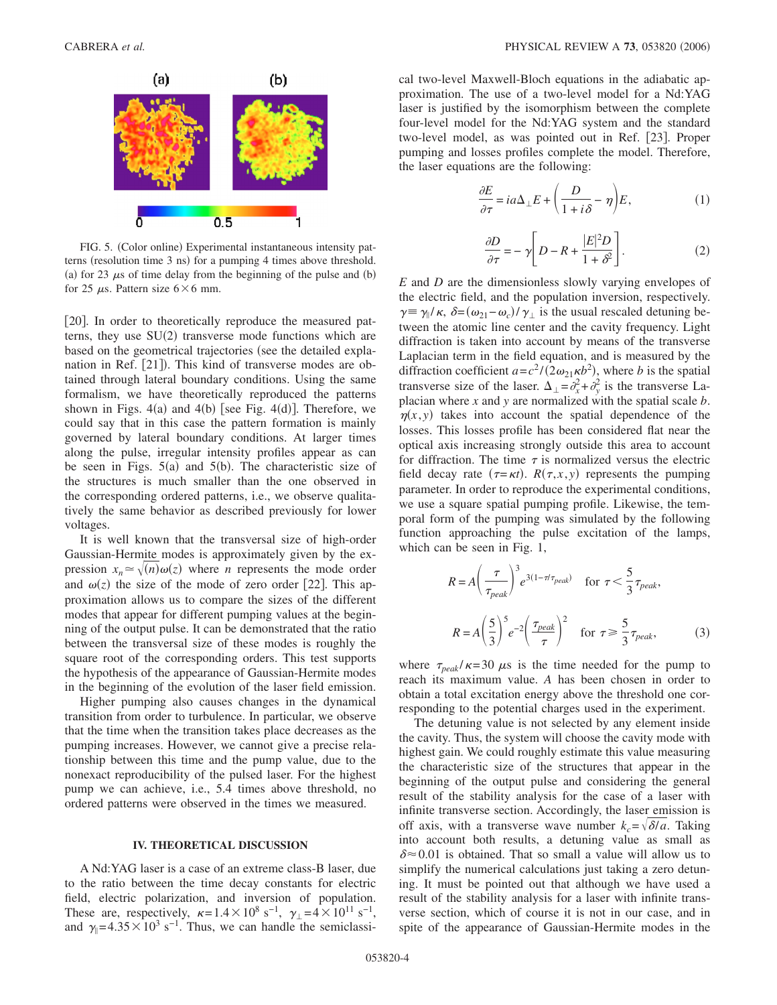

FIG. 5. (Color online) Experimental instantaneous intensity patterns (resolution time 3 ns) for a pumping 4 times above threshold. (a) for 23  $\mu$ s of time delay from the beginning of the pulse and (b) for 25  $\mu$ s. Pattern size 6×6 mm.

[20]. In order to theoretically reproduce the measured patterns, they use  $SU(2)$  transverse mode functions which are based on the geometrical trajectories (see the detailed explanation in Ref. [21]). This kind of transverse modes are obtained through lateral boundary conditions. Using the same formalism, we have theoretically reproduced the patterns shown in Figs.  $4(a)$  and  $4(b)$  [see Fig.  $4(d)$ ]. Therefore, we could say that in this case the pattern formation is mainly governed by lateral boundary conditions. At larger times along the pulse, irregular intensity profiles appear as can be seen in Figs.  $5(a)$  and  $5(b)$ . The characteristic size of the structures is much smaller than the one observed in the corresponding ordered patterns, i.e., we observe qualitatively the same behavior as described previously for lower voltages.

It is well known that the transversal size of high-order Gaussian-Hermite modes is approximately given by the expression  $x_n \approx \sqrt{n} \omega(z)$  where *n* represents the mode order and  $\omega(z)$  the size of the mode of zero order [22]. This approximation allows us to compare the sizes of the different modes that appear for different pumping values at the beginning of the output pulse. It can be demonstrated that the ratio between the transversal size of these modes is roughly the square root of the corresponding orders. This test supports the hypothesis of the appearance of Gaussian-Hermite modes in the beginning of the evolution of the laser field emission.

Higher pumping also causes changes in the dynamical transition from order to turbulence. In particular, we observe that the time when the transition takes place decreases as the pumping increases. However, we cannot give a precise relationship between this time and the pump value, due to the nonexact reproducibility of the pulsed laser. For the highest pump we can achieve, i.e., 5.4 times above threshold, no ordered patterns were observed in the times we measured.

## **IV. THEORETICAL DISCUSSION**

A Nd:YAG laser is a case of an extreme class-B laser, due to the ratio between the time decay constants for electric field, electric polarization, and inversion of population. These are, respectively,  $\kappa = 1.4 \times 10^8 \text{ s}^{-1}$ ,  $\gamma_{\perp} = 4 \times 10^{11} \text{ s}^{-1}$ , and  $\gamma$ <sub>|</sub>=4.35×10<sup>3</sup> s<sup>-1</sup>. Thus, we can handle the semiclassical two-level Maxwell-Bloch equations in the adiabatic approximation. The use of a two-level model for a Nd:YAG laser is justified by the isomorphism between the complete four-level model for the Nd:YAG system and the standard two-level model, as was pointed out in Ref. [23]. Proper pumping and losses profiles complete the model. Therefore, the laser equations are the following:

$$
\frac{\partial E}{\partial \tau} = ia\Delta_{\perp} E + \left(\frac{D}{1 + i\delta} - \eta\right) E,\tag{1}
$$

$$
\frac{\partial D}{\partial \tau} = -\gamma \left[ D - R + \frac{|E|^2 D}{1 + \delta^2} \right].
$$
 (2)

*E* and *D* are the dimensionless slowly varying envelopes of the electric field, and the population inversion, respectively.  $\gamma \equiv \gamma_{\parallel}/\kappa$ ,  $\delta = (\omega_{21} - \omega_c)/\gamma_{\perp}$  is the usual rescaled detuning between the atomic line center and the cavity frequency. Light diffraction is taken into account by means of the transverse Laplacian term in the field equation, and is measured by the diffraction coefficient  $a = c^2/(2\omega_{21}\kappa b^2)$ , where *b* is the spatial transverse size of the laser.  $\Delta_{\perp} = \partial_x^2 + \partial_y^2$  is the transverse Laplacian where *x* and *y* are normalized with the spatial scale *b*.  $\eta(x, y)$  takes into account the spatial dependence of the losses. This losses profile has been considered flat near the optical axis increasing strongly outside this area to account for diffraction. The time  $\tau$  is normalized versus the electric field decay rate  $(\tau = \kappa t)$ .  $R(\tau, x, y)$  represents the pumping parameter. In order to reproduce the experimental conditions, we use a square spatial pumping profile. Likewise, the temporal form of the pumping was simulated by the following function approaching the pulse excitation of the lamps, which can be seen in Fig. 1,

$$
R = A \left(\frac{\tau}{\tau_{peak}}\right)^3 e^{3(1-\tau/\tau_{peak})} \quad \text{for } \tau < \frac{5}{3}\tau_{peak},
$$
\n
$$
R = A \left(\frac{5}{3}\right)^5 e^{-2} \left(\frac{\tau_{peak}}{\tau}\right)^2 \quad \text{for } \tau \ge \frac{5}{3}\tau_{peak},\tag{3}
$$

where  $\tau_{peak}/\kappa=30 \mu s$  is the time needed for the pump to reach its maximum value. *A* has been chosen in order to obtain a total excitation energy above the threshold one corresponding to the potential charges used in the experiment.

The detuning value is not selected by any element inside the cavity. Thus, the system will choose the cavity mode with highest gain. We could roughly estimate this value measuring the characteristic size of the structures that appear in the beginning of the output pulse and considering the general result of the stability analysis for the case of a laser with infinite transverse section. Accordingly, the laser emission is off axis, with a transverse wave number  $k_c = \sqrt{\delta/a}$ . Taking into account both results, a detuning value as small as  $\delta \approx 0.01$  is obtained. That so small a value will allow us to simplify the numerical calculations just taking a zero detuning. It must be pointed out that although we have used a result of the stability analysis for a laser with infinite transverse section, which of course it is not in our case, and in spite of the appearance of Gaussian-Hermite modes in the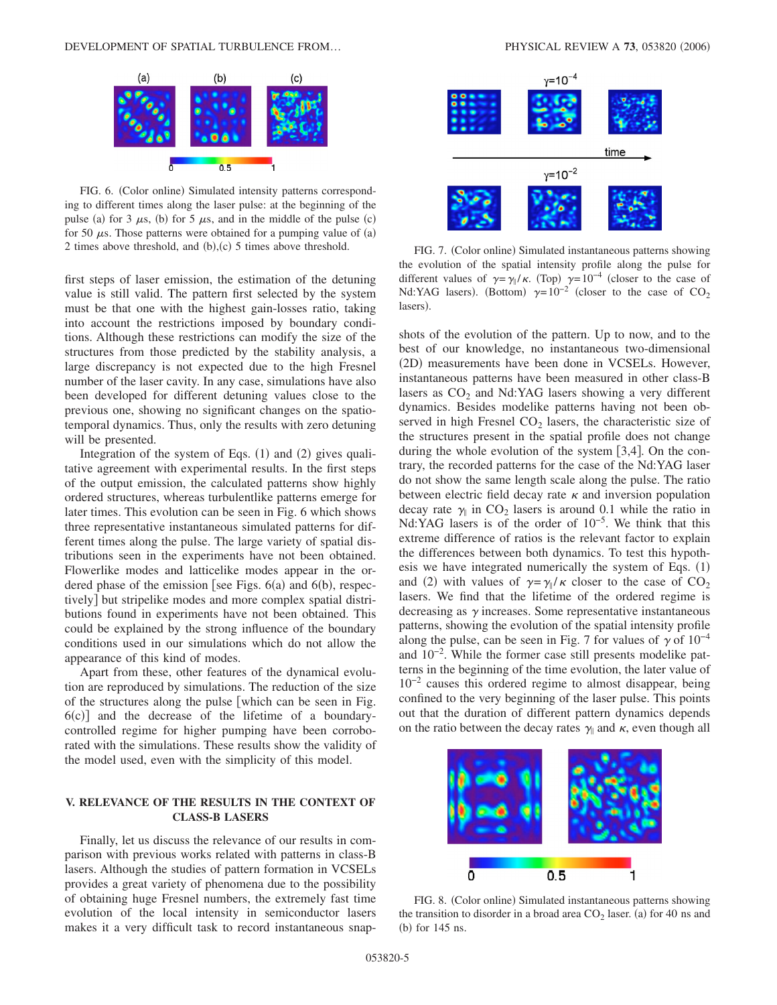

FIG. 6. (Color online) Simulated intensity patterns corresponding to different times along the laser pulse: at the beginning of the pulse (a) for 3  $\mu$ s, (b) for 5  $\mu$ s, and in the middle of the pulse (c) for 50  $\mu$ s. Those patterns were obtained for a pumping value of (a) 2 times above threshold, and  $(b)$ , $(c)$  5 times above threshold. FIG. 7. (Color online)

first steps of laser emission, the estimation of the detuning value is still valid. The pattern first selected by the system must be that one with the highest gain-losses ratio, taking into account the restrictions imposed by boundary conditions. Although these restrictions can modify the size of the structures from those predicted by the stability analysis, a large discrepancy is not expected due to the high Fresnel number of the laser cavity. In any case, simulations have also been developed for different detuning values close to the previous one, showing no significant changes on the spatiotemporal dynamics. Thus, only the results with zero detuning will be presented.

Integration of the system of Eqs.  $(1)$  and  $(2)$  gives qualitative agreement with experimental results. In the first steps of the output emission, the calculated patterns show highly ordered structures, whereas turbulentlike patterns emerge for later times. This evolution can be seen in Fig. 6 which shows three representative instantaneous simulated patterns for different times along the pulse. The large variety of spatial distributions seen in the experiments have not been obtained. Flowerlike modes and latticelike modes appear in the ordered phase of the emission [see Figs.  $6(a)$  and  $6(b)$ , respectively] but stripelike modes and more complex spatial distributions found in experiments have not been obtained. This could be explained by the strong influence of the boundary conditions used in our simulations which do not allow the appearance of this kind of modes.

Apart from these, other features of the dynamical evolution are reproduced by simulations. The reduction of the size of the structures along the pulse which can be seen in Fig.  $6(c)$ ] and the decrease of the lifetime of a boundarycontrolled regime for higher pumping have been corroborated with the simulations. These results show the validity of the model used, even with the simplicity of this model.

# **V. RELEVANCE OF THE RESULTS IN THE CONTEXT OF CLASS-B LASERS**

Finally, let us discuss the relevance of our results in comparison with previous works related with patterns in class-B lasers. Although the studies of pattern formation in VCSELs provides a great variety of phenomena due to the possibility of obtaining huge Fresnel numbers, the extremely fast time evolution of the local intensity in semiconductor lasers makes it a very difficult task to record instantaneous snap-



FIG. 7. (Color online) Simulated instantaneous patterns showing the evolution of the spatial intensity profile along the pulse for different values of  $\gamma = \gamma_0 / \kappa$ . (Top)  $\gamma = 10^{-4}$  (closer to the case of Nd:YAG lasers). (Bottom)  $\gamma=10^{-2}$  (closer to the case of CO<sub>2</sub> lasers).

shots of the evolution of the pattern. Up to now, and to the best of our knowledge, no instantaneous two-dimensional (2D) measurements have been done in VCSELs. However, instantaneous patterns have been measured in other class-B lasers as  $CO<sub>2</sub>$  and Nd:YAG lasers showing a very different dynamics. Besides modelike patterns having not been observed in high Fresnel  $CO<sub>2</sub>$  lasers, the characteristic size of the structures present in the spatial profile does not change during the whole evolution of the system  $[3,4]$ . On the contrary, the recorded patterns for the case of the Nd:YAG laser do not show the same length scale along the pulse. The ratio between electric field decay rate  $\kappa$  and inversion population decay rate  $\gamma_{\parallel}$  in CO<sub>2</sub> lasers is around 0.1 while the ratio in Nd:YAG lasers is of the order of 10<sup>-5</sup>. We think that this extreme difference of ratios is the relevant factor to explain the differences between both dynamics. To test this hypothesis we have integrated numerically the system of Eqs.  $(1)$ and (2) with values of  $\gamma = \gamma_{\parallel}/\kappa$  closer to the case of CO<sub>2</sub> lasers. We find that the lifetime of the ordered regime is decreasing as  $\gamma$  increases. Some representative instantaneous patterns, showing the evolution of the spatial intensity profile along the pulse, can be seen in Fig. 7 for values of  $\gamma$  of  $10^{-4}$ and 10−2. While the former case still presents modelike patterns in the beginning of the time evolution, the later value of 10−2 causes this ordered regime to almost disappear, being confined to the very beginning of the laser pulse. This points out that the duration of different pattern dynamics depends on the ratio between the decay rates  $\gamma$  and  $\kappa$ , even though all



FIG. 8. (Color online) Simulated instantaneous patterns showing the transition to disorder in a broad area  $CO<sub>2</sub>$  laser. (a) for 40 ns and (b) for 145 ns.